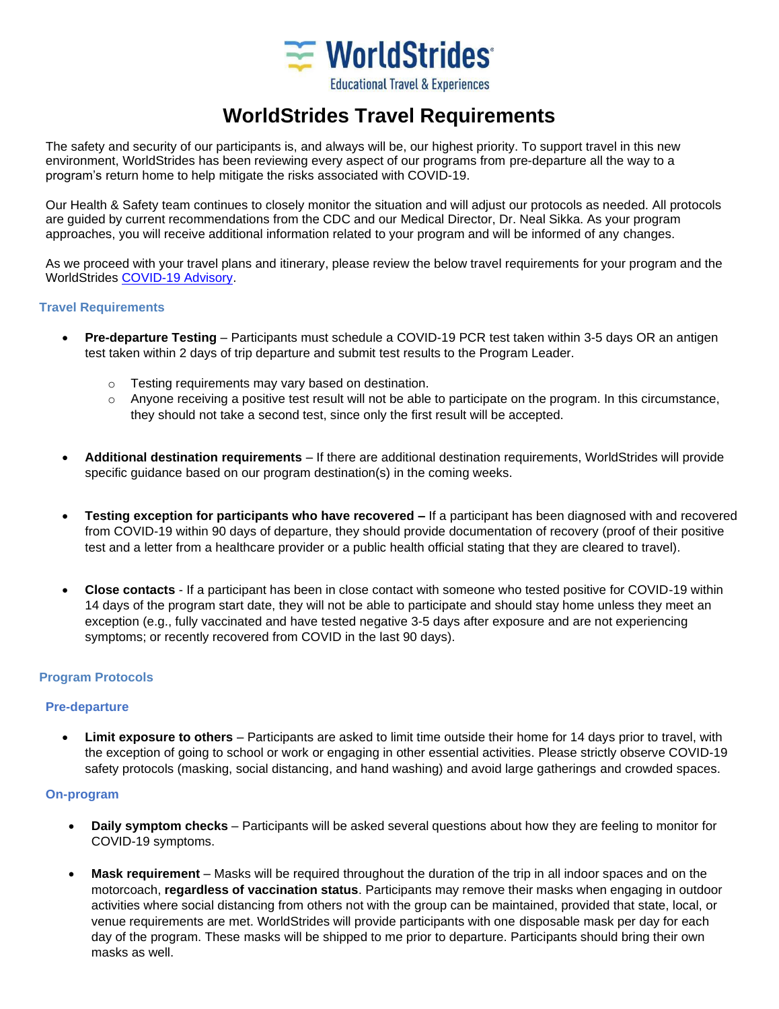

# **WorldStrides Travel Requirements**

The safety and security of our participants is, and always will be, our highest priority. To support travel in this new environment, WorldStrides has been reviewing every aspect of our programs from pre-departure all the way to a program's return home to help mitigate the risks associated with COVID-19.

Our Health & Safety team continues to closely monitor the situation and will adjust our protocols as needed. All protocols are guided by current recommendations from the CDC and our Medical Director, Dr. Neal Sikka. As your program approaches, you will receive additional information related to your program and will be informed of any changes.

As we proceed with your travel plans and itinerary, please review the below travel requirements for your program and the WorldStrides [COVID-19 Advisory.](https://resources.worldstrides.com/wp-content/uploads/2021/04/Covid-Advisory-Document.pdf)

### **Travel Requirements**

- **Pre-departure Testing** Participants must schedule a COVID-19 PCR test taken within 3-5 days OR an antigen test taken within 2 days of trip departure and submit test results to the Program Leader.
	- o Testing requirements may vary based on destination.
	- $\circ$  Anyone receiving a positive test result will not be able to participate on the program. In this circumstance, they should not take a second test, since only the first result will be accepted.
- **Additional destination requirements** If there are additional destination requirements, WorldStrides will provide specific guidance based on our program destination(s) in the coming weeks.
- **Testing exception for participants who have recovered –** If a participant has been diagnosed with and recovered from COVID-19 within 90 days of departure, they should provide documentation of recovery (proof of their positive test and a letter from a healthcare provider or a public health official stating that they are cleared to travel).
- **Close contacts**  If a participant has been in close contact with someone who tested positive for COVID-19 within 14 days of the program start date, they will not be able to participate and should stay home unless they meet an exception (e.g., fully vaccinated and have tested negative 3-5 days after exposure and are not experiencing symptoms; or recently recovered from COVID in the last 90 days).

## **Program Protocols**

### **Pre-departure**

• **Limit exposure to others** – Participants are asked to limit time outside their home for 14 days prior to travel, with the exception of going to school or work or engaging in other essential activities. Please strictly observe COVID-19 safety protocols (masking, social distancing, and hand washing) and avoid large gatherings and crowded spaces.

### **On-program**

- **Daily symptom checks** Participants will be asked several questions about how they are feeling to monitor for COVID-19 symptoms.
- **Mask requirement**  Masks will be required throughout the duration of the trip in all indoor spaces and on the motorcoach, **regardless of vaccination status**. Participants may remove their masks when engaging in outdoor activities where social distancing from others not with the group can be maintained, provided that state, local, or venue requirements are met. WorldStrides will provide participants with one disposable mask per day for each day of the program. These masks will be shipped to me prior to departure. Participants should bring their own masks as well.